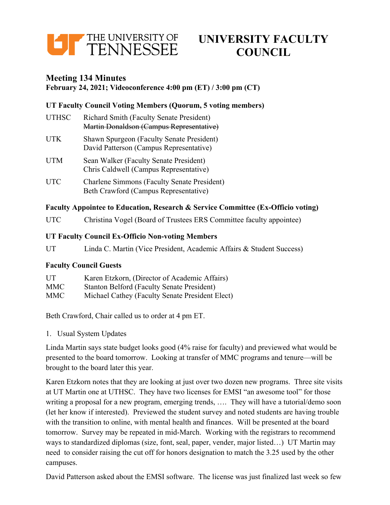

# **UNIVERSITY FACULTY COUNCIL**

# **Meeting 134 Minutes**

#### **February 24, 2021; Videoconference 4:00 pm (ET) / 3:00 pm (CT)**

# **UT Faculty Council Voting Members (Quorum, 5 voting members)**

| <b>UTHSC</b> | <b>Richard Smith (Faculty Senate President)</b><br>Martin Donaldson (Campus Representative) |
|--------------|---------------------------------------------------------------------------------------------|
| <b>UTK</b>   | Shawn Spurgeon (Faculty Senate President)<br>David Patterson (Campus Representative)        |
| <b>UTM</b>   | Sean Walker (Faculty Senate President)<br>Chris Caldwell (Campus Representative)            |
| UTC          | <b>Charlene Simmons (Faculty Senate President)</b>                                          |

Beth Crawford (Campus Representative)

#### **Faculty Appointee to Education, Research & Service Committee (Ex-Officio voting)**

UTC Christina Vogel (Board of Trustees ERS Committee faculty appointee)

#### **UT Faculty Council Ex-Officio Non-voting Members**

UT Linda C. Martin (Vice President, Academic Affairs & Student Success)

## **Faculty Council Guests**

| UT         | Karen Etzkorn, (Director of Academic Affairs)     |
|------------|---------------------------------------------------|
| <b>MMC</b> | <b>Stanton Belford (Faculty Senate President)</b> |
| <b>MMC</b> | Michael Cathey (Faculty Senate President Elect)   |

Beth Crawford, Chair called us to order at 4 pm ET.

1. Usual System Updates

Linda Martin says state budget looks good (4% raise for faculty) and previewed what would be presented to the board tomorrow. Looking at transfer of MMC programs and tenure—will be brought to the board later this year.

Karen Etzkorn notes that they are looking at just over two dozen new programs. Three site visits at UT Martin one at UTHSC. They have two licenses for EMSI "an awesome tool" for those writing a proposal for a new program, emerging trends, …. They will have a tutorial/demo soon (let her know if interested). Previewed the student survey and noted students are having trouble with the transition to online, with mental health and finances. Will be presented at the board tomorrow. Survey may be repeated in mid-March. Working with the registrars to recommend ways to standardized diplomas (size, font, seal, paper, vender, major listed…) UT Martin may need to consider raising the cut off for honors designation to match the 3.25 used by the other campuses.

David Patterson asked about the EMSI software. The license was just finalized last week so few